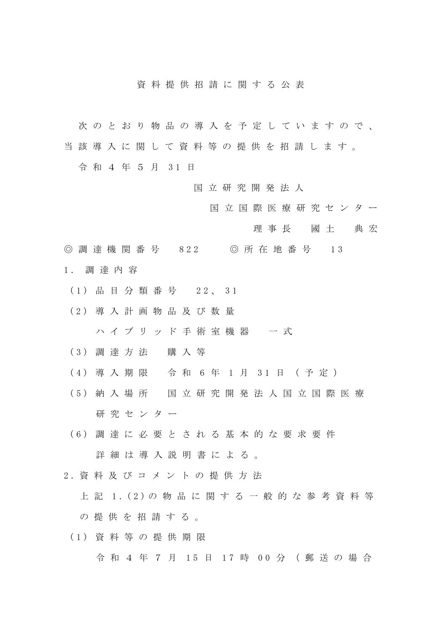## 資 料 提 供 招 請 に 関 す る 公 表

- 次 の と お り 物 品 の 導 入 を 予 定 し て い ま す の で 、
- 当 該 導 入 に 関 し て 資 料 等 の 提 供 を 招 請 し ま す 。
	- 令 和 4 年 5 月 3 1 日
		- 国 立 研 究 開 発 法 人
			- 国 立 国 際 医 療 研 究 セ ン タ ー
				- 理事長 國 土 典 宏
- ◎ 調 達 機 関 番 号 822 ◎ 所 在 地 番 号 13 1 . 調達内容
	- (1) 品目分類番号 2 2 、 3 1
	- (2) 導 入 計 画 物 品 及 び 数 量 ハイブリッド手術室機器 一式
	- (3) 調達方法 購 入 等
	- (4) 導入期限 令 和 6 年 1 月 3 1 日 (予定)
	- (5) 納入場所 国 立 研 究 開 発 法 人 国 立 国 際 医 療 研究センター
	- (6) 調達に必要と される基 本 的 な 要 求 要 件 詳細は導入説明書による。
- 2 . 資料及 びコメ ントの提供方 法
	- 上 記 1.(2) の 物 品 に 関 す る 一 般 的 な 参 考 資料等 の 提 供 を 招 請 す る 。
	- (1) 資料等の 提 供 期 限

令 和 4 年 7 月 15 日 17 時 00 分 (郵送の場合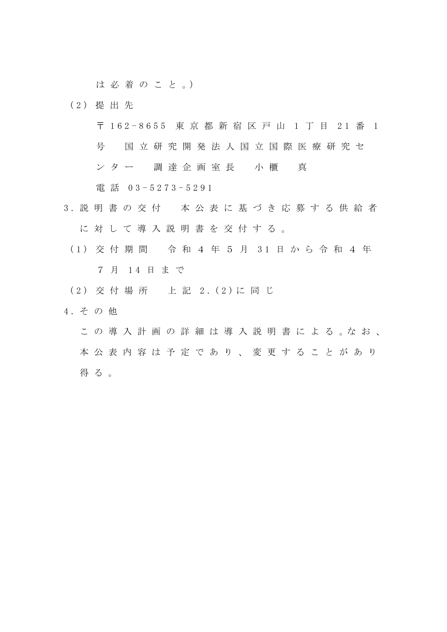は 必 着 の こ と 。)

(2) 提出先

〒 1 6 2 - 8655 東京都 新 宿 区 戸 山 1 丁 目 2 1 番 1

号 国 立 研 究 開 発 法 人 国 立 国 際 医 療 研 究 セ

ンター 調 達 企 画 室 長 小 櫃 真

電 話 0 3 - 5273 - 5291

- 3 . 説明書の交付 本 公 表 に 基 づ き 応 募 す る 供 給 者 に対して導入説明書を交付する。
	- (1) 交付期間 令 和 4 年 5 月 3 1 日 か ら 令 和 4 年 7 月 1 4 日 ま で
	- (2) 交 付 場 所 上 記 2 .(2) に 同 じ
- 4. その他
	- こ の 導 入 計 画 の 詳 細 は 導 入 説 明 書 に よ る 。な お 、 本 公 表 内 容 は 予 定 で あ り 、 変 更 す る こ と が あ り 得る。